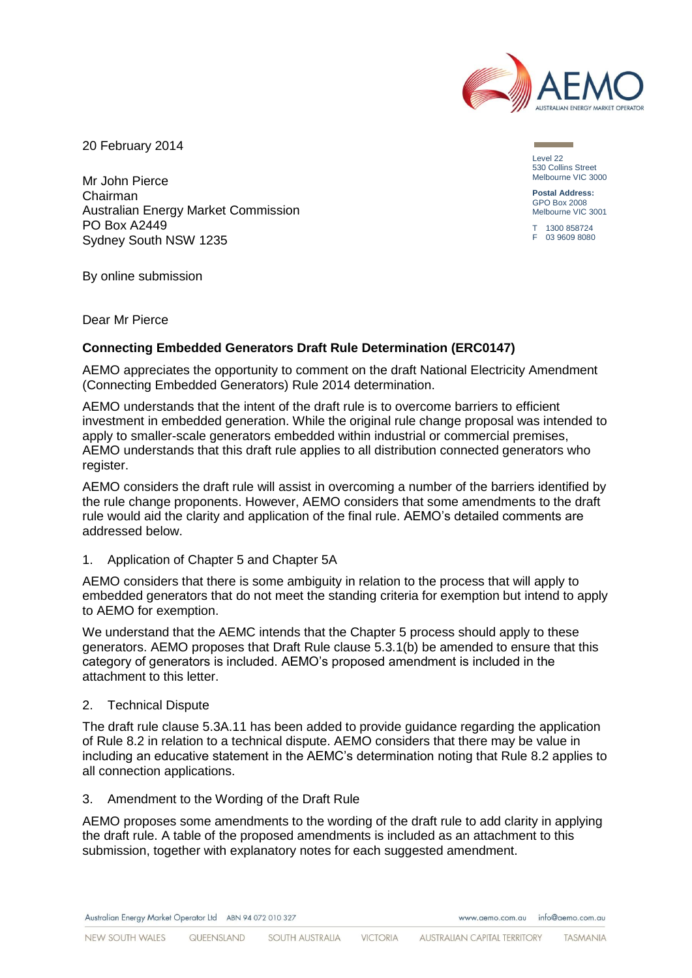

20 February 2014

Mr John Pierce Chairman Australian Energy Market Commission PO Box A2449 Sydney South NSW 1235

Level 22 530 Collins Street Melbourne VIC 3000

**Postal Address:** GPO Box 2008 Melbourne VIC 3001

T 1300 858724 F 03 9609 8080

By online submission

Dear Mr Pierce

## **Connecting Embedded Generators Draft Rule Determination (ERC0147)**

AEMO appreciates the opportunity to comment on the draft National Electricity Amendment (Connecting Embedded Generators) Rule 2014 determination.

AEMO understands that the intent of the draft rule is to overcome barriers to efficient investment in embedded generation. While the original rule change proposal was intended to apply to smaller-scale generators embedded within industrial or commercial premises, AEMO understands that this draft rule applies to all distribution connected generators who register.

AEMO considers the draft rule will assist in overcoming a number of the barriers identified by the rule change proponents. However, AEMO considers that some amendments to the draft rule would aid the clarity and application of the final rule. AEMO's detailed comments are addressed below.

1. Application of Chapter 5 and Chapter 5A

AEMO considers that there is some ambiguity in relation to the process that will apply to embedded generators that do not meet the standing criteria for exemption but intend to apply to AEMO for exemption.

We understand that the AEMC intends that the Chapter 5 process should apply to these generators. AEMO proposes that Draft Rule clause 5.3.1(b) be amended to ensure that this category of generators is included. AEMO's proposed amendment is included in the attachment to this letter.

## 2. Technical Dispute

The draft rule clause 5.3A.11 has been added to provide guidance regarding the application of Rule 8.2 in relation to a technical dispute. AEMO considers that there may be value in including an educative statement in the AEMC's determination noting that Rule 8.2 applies to all connection applications.

3. Amendment to the Wording of the Draft Rule

AEMO proposes some amendments to the wording of the draft rule to add clarity in applying the draft rule. A table of the proposed amendments is included as an attachment to this submission, together with explanatory notes for each suggested amendment.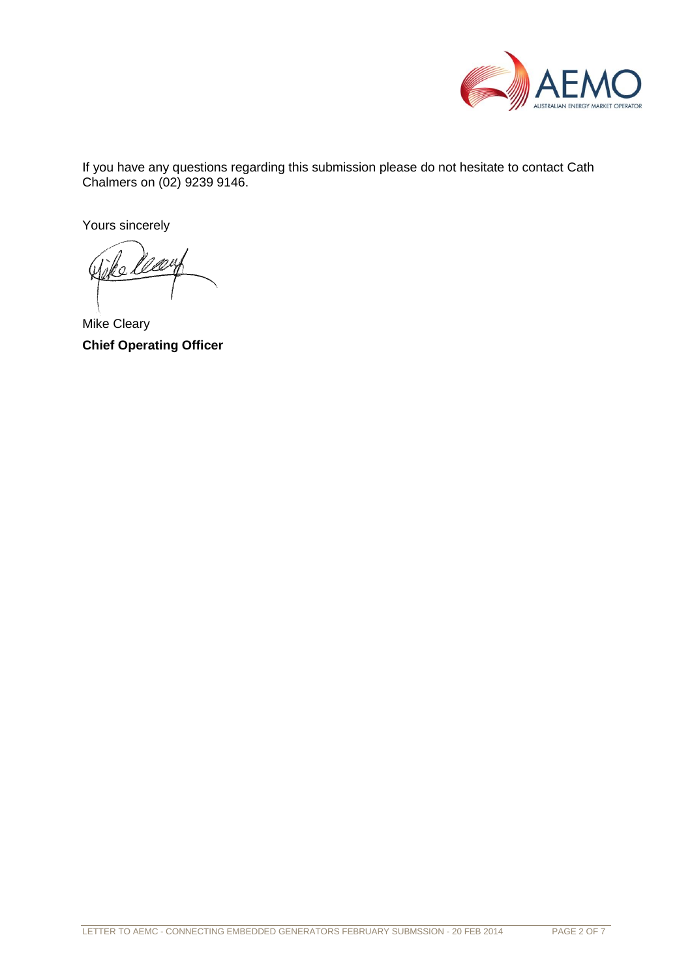

If you have any questions regarding this submission please do not hesitate to contact Cath Chalmers on (02) 9239 9146.

Yours sincerely

Mike Cleary **Chief Operating Officer**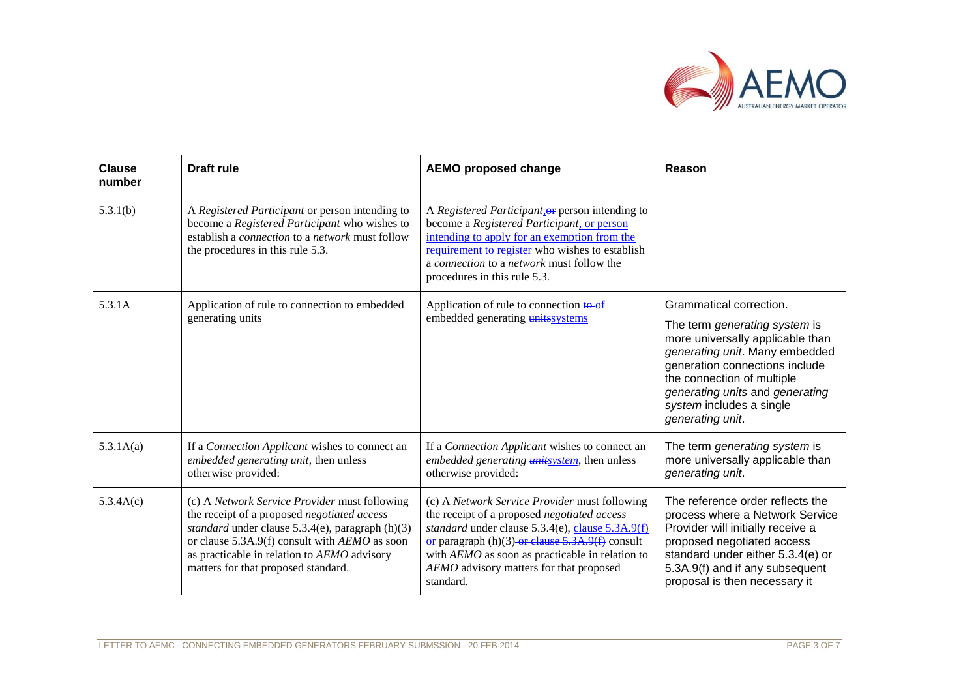

| Clause<br>number | <b>Draft rule</b>                                                                                                                                                                                                                                                                            | <b>AEMO proposed change</b>                                                                                                                                                                                                                                                                                       | Reason                                                                                                                                                                                                                                                 |
|------------------|----------------------------------------------------------------------------------------------------------------------------------------------------------------------------------------------------------------------------------------------------------------------------------------------|-------------------------------------------------------------------------------------------------------------------------------------------------------------------------------------------------------------------------------------------------------------------------------------------------------------------|--------------------------------------------------------------------------------------------------------------------------------------------------------------------------------------------------------------------------------------------------------|
| 5.3.1(b)         | A Registered Participant or person intending to<br>become a Registered Participant who wishes to<br>establish a <i>connection</i> to a <i>network</i> must follow<br>the procedures in this rule 5.3.                                                                                        | A Registered Participant, or person intending to<br>become a Registered Participant, or person<br>intending to apply for an exemption from the<br>requirement to register who wishes to establish<br>a connection to a network must follow the<br>procedures in this rule 5.3.                                    |                                                                                                                                                                                                                                                        |
| 5.3.1A           | Application of rule to connection to embedded<br>generating units                                                                                                                                                                                                                            | Application of rule to connection to of<br>embedded generating units systems                                                                                                                                                                                                                                      | Grammatical correction.                                                                                                                                                                                                                                |
|                  |                                                                                                                                                                                                                                                                                              |                                                                                                                                                                                                                                                                                                                   | The term generating system is<br>more universally applicable than<br>generating unit. Many embedded<br>generation connections include<br>the connection of multiple<br>generating units and generating<br>system includes a single<br>generating unit. |
| 5.3.1A(a)        | If a Connection Applicant wishes to connect an<br>embedded generating unit, then unless<br>otherwise provided:                                                                                                                                                                               | If a Connection Applicant wishes to connect an<br>embedded generating <i>unitsystem</i> , then unless<br>otherwise provided:                                                                                                                                                                                      | The term generating system is<br>more universally applicable than<br>generating unit.                                                                                                                                                                  |
| 5.3.4A(c)        | (c) A Network Service Provider must following<br>the receipt of a proposed negotiated access<br>standard under clause $5.3.4(e)$ , paragraph $(h)(3)$<br>or clause 5.3A.9(f) consult with AEMO as soon<br>as practicable in relation to AEMO advisory<br>matters for that proposed standard. | (c) A Network Service Provider must following<br>the receipt of a proposed negotiated access<br>standard under clause 5.3.4(e), clause 5.3A.9(f)<br>or paragraph $(h)(3)$ -or clause 5.3A.9(f) consult<br>with AEMO as soon as practicable in relation to<br>AEMO advisory matters for that proposed<br>standard. | The reference order reflects the<br>process where a Network Service<br>Provider will initially receive a<br>proposed negotiated access<br>standard under either 5.3.4(e) or<br>5.3A.9(f) and if any subsequent<br>proposal is then necessary it        |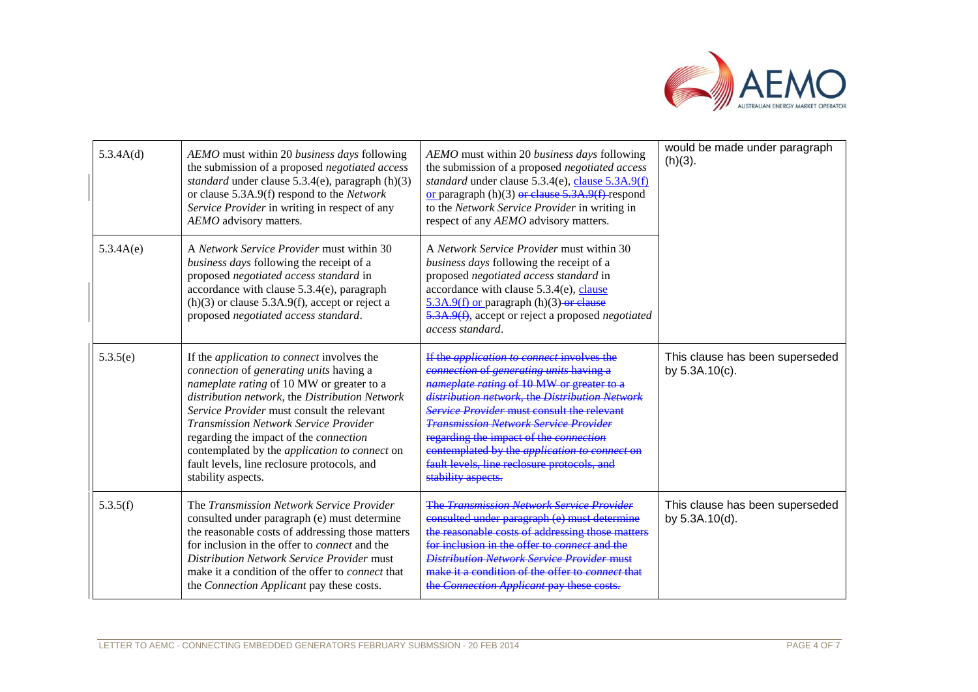

| 5.3.4A(d) | AEMO must within 20 business days following<br>the submission of a proposed negotiated access<br>standard under clause 5.3.4(e), paragraph (h)(3)<br>or clause 5.3A.9(f) respond to the Network<br>Service Provider in writing in respect of any<br>AEMO advisory matters.                                                                                                                                                                                              | AEMO must within 20 business days following<br>the submission of a proposed negotiated access<br>standard under clause 5.3.4(e), clause 5.3A.9(f)<br>or paragraph $(h)(3)$ or clause 5.3A.9(f) respond<br>to the Network Service Provider in writing in<br>respect of any AEMO advisory matters.                                                                                                                                                                        | would be made under paragraph<br>$(h)(3)$ .          |
|-----------|-------------------------------------------------------------------------------------------------------------------------------------------------------------------------------------------------------------------------------------------------------------------------------------------------------------------------------------------------------------------------------------------------------------------------------------------------------------------------|-------------------------------------------------------------------------------------------------------------------------------------------------------------------------------------------------------------------------------------------------------------------------------------------------------------------------------------------------------------------------------------------------------------------------------------------------------------------------|------------------------------------------------------|
| 5.3.4A(e) | A Network Service Provider must within 30<br>business days following the receipt of a<br>proposed negotiated access standard in<br>accordance with clause $5.3.4(e)$ , paragraph<br>$(h)(3)$ or clause 5.3A.9(f), accept or reject a<br>proposed negotiated access standard.                                                                                                                                                                                            | A Network Service Provider must within 30<br>business days following the receipt of a<br>proposed negotiated access standard in<br>accordance with clause 5.3.4(e), clause<br>$5.3A.9(f)$ or paragraph (h)(3)-or clause<br>5.3A.9(f), accept or reject a proposed negotiated<br>access standard.                                                                                                                                                                        |                                                      |
| 5.3.5(e)  | If the <i>application to connect</i> involves the<br>connection of generating units having a<br>nameplate rating of 10 MW or greater to a<br>distribution network, the Distribution Network<br>Service Provider must consult the relevant<br><b>Transmission Network Service Provider</b><br>regarding the impact of the <i>connection</i><br>contemplated by the <i>application to connect</i> on<br>fault levels, line reclosure protocols, and<br>stability aspects. | If the <i>application to connect</i> involves the<br>connection of generating units having a<br>nameplate rating of 10 MW or greater to a<br>distribution network, the Distribution Network<br><b>Service Provider must consult the relevant</b><br><b>Transmission Network Service Provider</b><br>regarding the impact of the connection<br>contemplated by the <i>application to connect</i> on<br>fault levels, line reclosure protocols, and<br>stability aspects. | This clause has been superseded<br>by $5.3A.10(c)$ . |
| 5.3.5(f)  | The Transmission Network Service Provider<br>consulted under paragraph (e) must determine<br>the reasonable costs of addressing those matters<br>for inclusion in the offer to <i>connect</i> and the<br><b>Distribution Network Service Provider must</b><br>make it a condition of the offer to <i>connect</i> that<br>the Connection Applicant pay these costs.                                                                                                      | <b>The Transmission Network Service Provider</b><br>consulted under paragraph (e) must determine<br>the reasonable costs of addressing those matters<br>for inclusion in the offer to <i>connect</i> and the<br><b>Distribution Network Service Provider must</b><br>make it a condition of the offer to <i>connect</i> that<br>the Connection Applicant pay these costs.                                                                                               | This clause has been superseded<br>by 5.3A.10(d).    |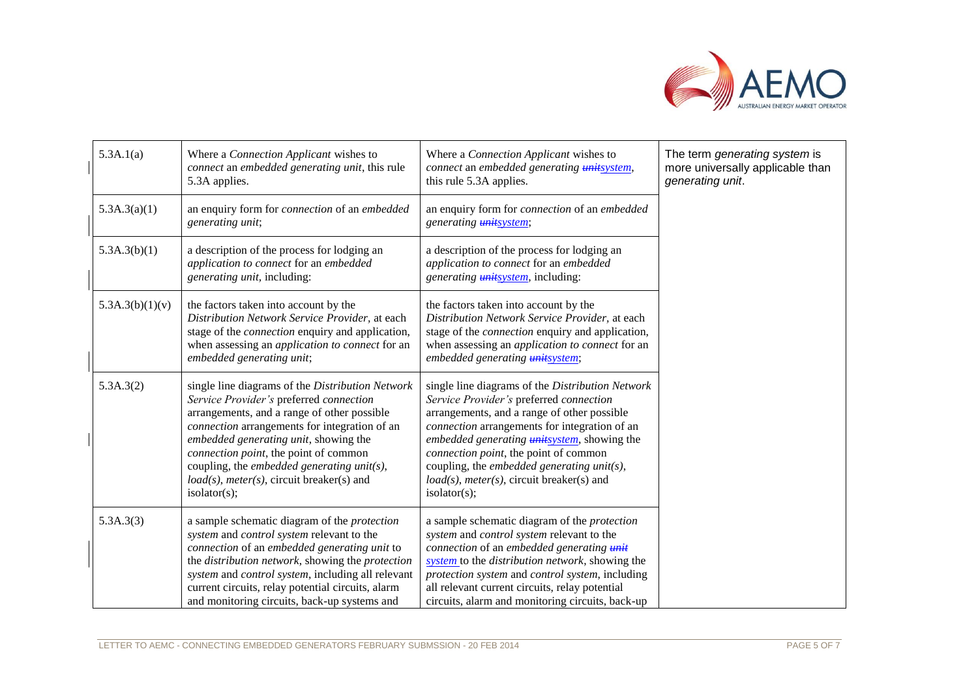

| 5.3A.1(a)       | Where a Connection Applicant wishes to<br>connect an embedded generating unit, this rule<br>5.3A applies.                                                                                                                                                                                                                                                                                   | Where a Connection Applicant wishes to<br>connect an embedded generating <i>unitsystem</i> ,<br>this rule 5.3A applies.                                                                                                                                                                                                                                                                                   | The term generating system is<br>more universally applicable than<br>generating unit. |
|-----------------|---------------------------------------------------------------------------------------------------------------------------------------------------------------------------------------------------------------------------------------------------------------------------------------------------------------------------------------------------------------------------------------------|-----------------------------------------------------------------------------------------------------------------------------------------------------------------------------------------------------------------------------------------------------------------------------------------------------------------------------------------------------------------------------------------------------------|---------------------------------------------------------------------------------------|
| 5.3A.3(a)(1)    | an enquiry form for <i>connection</i> of an <i>embedded</i><br>generating unit;                                                                                                                                                                                                                                                                                                             | an enquiry form for <i>connection</i> of an <i>embedded</i><br>generating <b>unitsystem</b> ;                                                                                                                                                                                                                                                                                                             |                                                                                       |
| 5.3A.3(b)(1)    | a description of the process for lodging an<br>application to connect for an embedded<br>generating unit, including:                                                                                                                                                                                                                                                                        | a description of the process for lodging an<br>application to connect for an embedded<br>generating <i>unitsystem</i> , including:                                                                                                                                                                                                                                                                        |                                                                                       |
| 5.3A.3(b)(1)(v) | the factors taken into account by the<br>Distribution Network Service Provider, at each<br>stage of the <i>connection</i> enquiry and application,<br>when assessing an <i>application to connect</i> for an<br>embedded generating unit;                                                                                                                                                   | the factors taken into account by the<br>Distribution Network Service Provider, at each<br>stage of the <i>connection</i> enquiry and application,<br>when assessing an <i>application to connect</i> for an<br>embedded generating unitsystem;                                                                                                                                                           |                                                                                       |
| 5.3A.3(2)       | single line diagrams of the Distribution Network<br>Service Provider's preferred connection<br>arrangements, and a range of other possible<br>connection arrangements for integration of an<br>embedded generating unit, showing the<br>connection point, the point of common<br>coupling, the embedded generating unit(s),<br>$load(s)$ , meter(s), circuit breaker(s) and<br>isolator(s); | single line diagrams of the Distribution Network<br>Service Provider's preferred connection<br>arrangements, and a range of other possible<br>connection arrangements for integration of an<br>embedded generating <i>unitsystem</i> , showing the<br>connection point, the point of common<br>coupling, the embedded generating unit(s),<br>$load(s)$ , meter(s), circuit breaker(s) and<br>isolator(s); |                                                                                       |
| 5.3A.3(3)       | a sample schematic diagram of the <i>protection</i><br>system and control system relevant to the<br>connection of an embedded generating unit to<br>the distribution network, showing the protection<br>system and control system, including all relevant<br>current circuits, relay potential circuits, alarm<br>and monitoring circuits, back-up systems and                              | a sample schematic diagram of the <i>protection</i><br>system and control system relevant to the<br>connection of an embedded generating unit<br>system to the distribution network, showing the<br>protection system and control system, including<br>all relevant current circuits, relay potential<br>circuits, alarm and monitoring circuits, back-up                                                 |                                                                                       |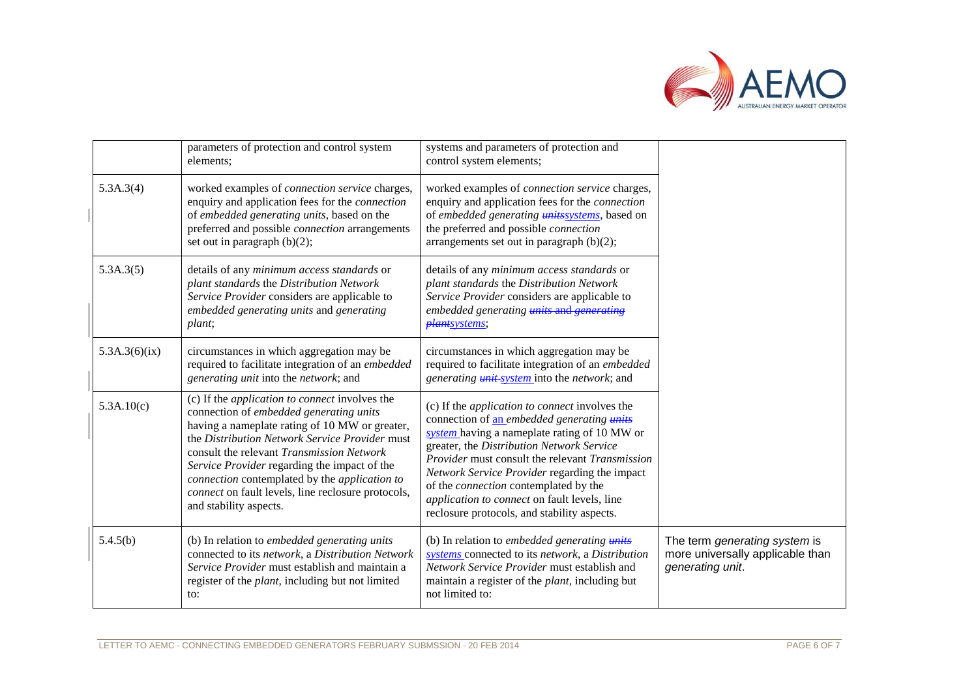

|               | parameters of protection and control system<br>elements;                                                                                                                                                                                                                                                                                                                                                                           | systems and parameters of protection and<br>control system elements;                                                                                                                                                                                                                                                                                                                                                                                |                                                                                       |
|---------------|------------------------------------------------------------------------------------------------------------------------------------------------------------------------------------------------------------------------------------------------------------------------------------------------------------------------------------------------------------------------------------------------------------------------------------|-----------------------------------------------------------------------------------------------------------------------------------------------------------------------------------------------------------------------------------------------------------------------------------------------------------------------------------------------------------------------------------------------------------------------------------------------------|---------------------------------------------------------------------------------------|
| 5.3A.3(4)     | worked examples of <i>connection service</i> charges,<br>enquiry and application fees for the <i>connection</i><br>of embedded generating units, based on the<br>preferred and possible <i>connection</i> arrangements<br>set out in paragraph $(b)(2)$ ;                                                                                                                                                                          | worked examples of <i>connection service</i> charges,<br>enquiry and application fees for the <i>connection</i><br>of embedded generating <i>unitssystems</i> , based on<br>the preferred and possible connection<br>arrangements set out in paragraph $(b)(2)$ ;                                                                                                                                                                                   |                                                                                       |
| 5.3A.3(5)     | details of any <i>minimum access standards</i> or<br>plant standards the Distribution Network<br>Service Provider considers are applicable to<br>embedded generating units and generating<br>plant;                                                                                                                                                                                                                                | details of any <i>minimum access standards</i> or<br>plant standards the Distribution Network<br>Service Provider considers are applicable to<br>embedded generating <i>units</i> and <i>generating</i><br>plantsystems;                                                                                                                                                                                                                            |                                                                                       |
| 5.3A.3(6)(ix) | circumstances in which aggregation may be<br>required to facilitate integration of an embedded<br>generating unit into the network; and                                                                                                                                                                                                                                                                                            | circumstances in which aggregation may be<br>required to facilitate integration of an embedded<br>generating <i>unit-system</i> into the network; and                                                                                                                                                                                                                                                                                               |                                                                                       |
| 5.3A.10(c)    | (c) If the <i>application to connect</i> involves the<br>connection of embedded generating units<br>having a nameplate rating of 10 MW or greater,<br>the Distribution Network Service Provider must<br>consult the relevant Transmission Network<br>Service Provider regarding the impact of the<br>connection contemplated by the application to<br>connect on fault levels, line reclosure protocols,<br>and stability aspects. | (c) If the <i>application to connect</i> involves the<br>connection of an embedded generating units<br>system having a nameplate rating of 10 MW or<br>greater, the Distribution Network Service<br>Provider must consult the relevant Transmission<br>Network Service Provider regarding the impact<br>of the <i>connection</i> contemplated by the<br>application to connect on fault levels, line<br>reclosure protocols, and stability aspects. |                                                                                       |
| 5.4.5(b)      | (b) In relation to embedded generating units<br>connected to its network, a Distribution Network<br>Service Provider must establish and maintain a<br>register of the <i>plant</i> , including but not limited<br>to:                                                                                                                                                                                                              | (b) In relation to embedded generating units<br>systems connected to its network, a Distribution<br>Network Service Provider must establish and<br>maintain a register of the <i>plant</i> , including but<br>not limited to:                                                                                                                                                                                                                       | The term generating system is<br>more universally applicable than<br>generating unit. |